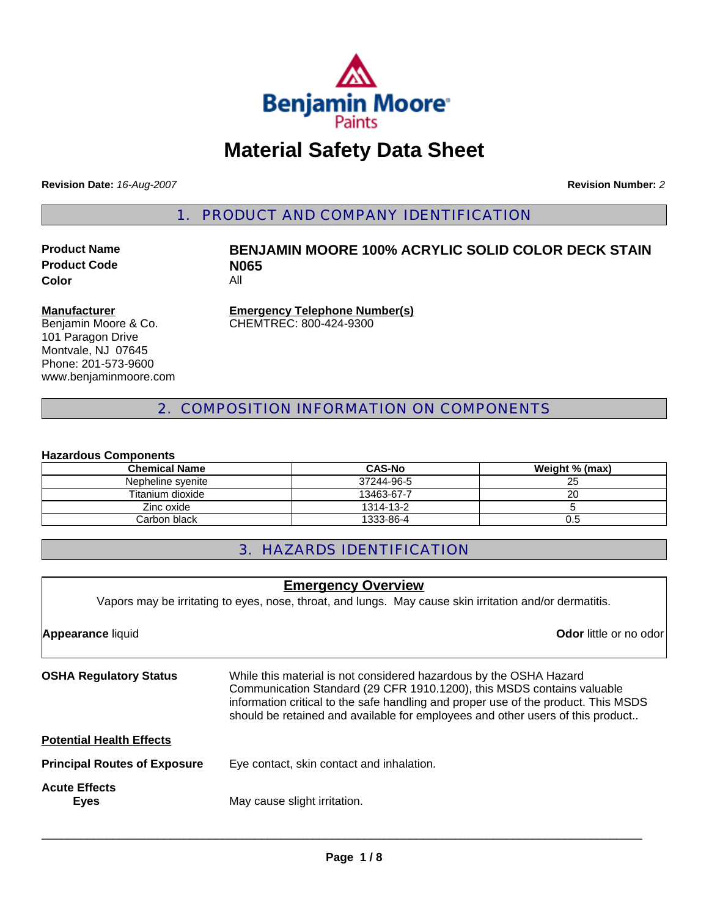

# **Material Safety Data Sheet**

**Revision Date:** *16-Aug-2007*

**Revision Number:** *2*

1. PRODUCT AND COMPANY IDENTIFICATION

**Product Code N065**<br> **Color Color** 

# **Product Name BENJAMIN MOORE 100% ACRYLIC SOLID COLOR DECK STAIN**

#### **Manufacturer**

Benjamin Moore & Co. 101 Paragon Drive Montvale, NJ 07645 Phone: 201-573-9600 www.benjaminmoore.com **Emergency Telephone Number(s)** CHEMTREC: 800-424-9300

2. COMPOSITION INFORMATION ON COMPONENTS

#### **Hazardous Components**

| <b>Chemical Name</b> | <b>CAS-No</b> | Weight % (max) |
|----------------------|---------------|----------------|
| Nepheline svenite    | 37244-96-5    | ົ<br>25        |
| Titanium dioxide     | 13463-67-7    | 20             |
| Zinc oxide           | 1314-13-2     |                |
| Carbon black         | 1333-86-4     | U.5            |

# 3. HAZARDS IDENTIFICATION

| <b>Emergency Overview</b>                                                                               |                                                                                                                                                                                                                                                                                                                      |  |
|---------------------------------------------------------------------------------------------------------|----------------------------------------------------------------------------------------------------------------------------------------------------------------------------------------------------------------------------------------------------------------------------------------------------------------------|--|
| Vapors may be irritating to eyes, nose, throat, and lungs. May cause skin irritation and/or dermatitis. |                                                                                                                                                                                                                                                                                                                      |  |
| <b>Appearance liquid</b>                                                                                | <b>Odor</b> little or no odor                                                                                                                                                                                                                                                                                        |  |
| <b>OSHA Regulatory Status</b>                                                                           | While this material is not considered hazardous by the OSHA Hazard<br>Communication Standard (29 CFR 1910.1200), this MSDS contains valuable<br>information critical to the safe handling and proper use of the product. This MSDS<br>should be retained and available for employees and other users of this product |  |
| <b>Potential Health Effects</b>                                                                         |                                                                                                                                                                                                                                                                                                                      |  |
| <b>Principal Routes of Exposure</b>                                                                     | Eye contact, skin contact and inhalation.                                                                                                                                                                                                                                                                            |  |
| <b>Acute Effects</b><br><b>Eyes</b>                                                                     | May cause slight irritation.                                                                                                                                                                                                                                                                                         |  |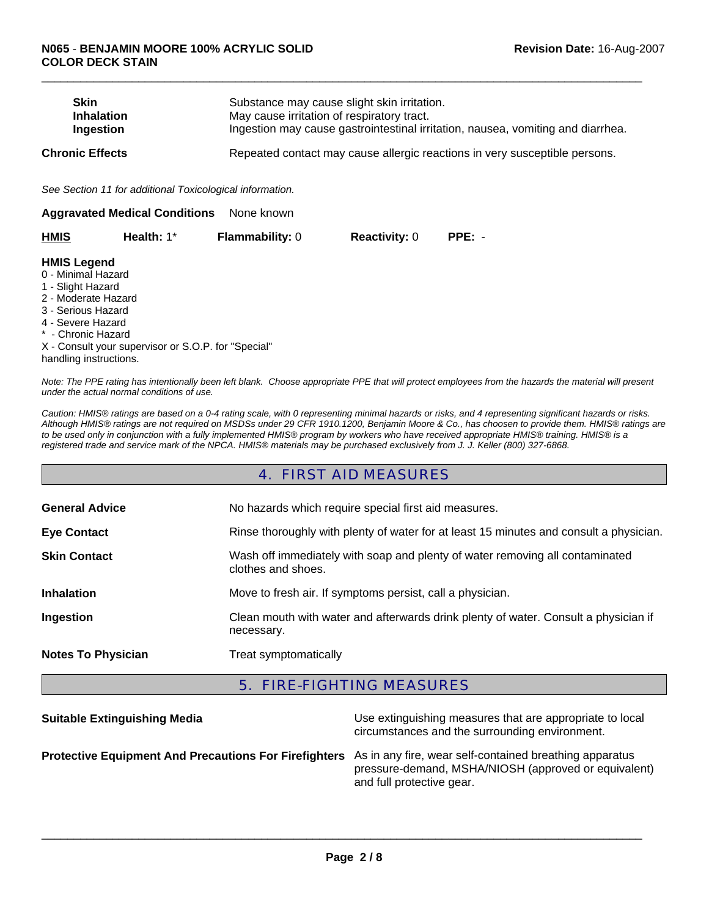| <b>Skin</b><br><b>Inhalation</b><br>Ingestion                                                                                                                                   |                                                          |                        | Substance may cause slight skin irritation.<br>May cause irritation of respiratory tract.<br>Ingestion may cause gastrointestinal irritation, nausea, vomiting and diarrhea. |          |  |  |
|---------------------------------------------------------------------------------------------------------------------------------------------------------------------------------|----------------------------------------------------------|------------------------|------------------------------------------------------------------------------------------------------------------------------------------------------------------------------|----------|--|--|
| <b>Chronic Effects</b>                                                                                                                                                          |                                                          |                        | Repeated contact may cause allergic reactions in very susceptible persons.                                                                                                   |          |  |  |
|                                                                                                                                                                                 | See Section 11 for additional Toxicological information. |                        |                                                                                                                                                                              |          |  |  |
|                                                                                                                                                                                 | <b>Aggravated Medical Conditions</b>                     | None known             |                                                                                                                                                                              |          |  |  |
| HMIS                                                                                                                                                                            | Health: 1*                                               | <b>Flammability: 0</b> | <b>Reactivity: 0</b>                                                                                                                                                         | $PPE: -$ |  |  |
| <b>HMIS Legend</b><br>0 - Minimal Hazard<br>1 - Slight Hazard<br>2 - Moderate Hazard<br>3 - Serious Hazard<br>4 - Severe Hazard<br>* - Chronic Hazard<br>handling instructions. | X - Consult your supervisor or S.O.P. for "Special"      |                        |                                                                                                                                                                              |          |  |  |

 $\Box$ 

*Note: The PPE rating has intentionally been left blank. Choose appropriate PPE that will protect employees from the hazards the material will present under the actual normal conditions of use.*

*Caution: HMIS® ratings are based on a 0-4 rating scale, with 0 representing minimal hazards or risks, and 4 representing significant hazards or risks. Although HMIS® ratings are not required on MSDSs under 29 CFR 1910.1200, Benjamin Moore & Co., has choosen to provide them. HMIS® ratings are to be used only in conjunction with a fully implemented HMIS® program by workers who have received appropriate HMIS® training. HMIS® is a registered trade and service mark of the NPCA. HMIS® materials may be purchased exclusively from J. J. Keller (800) 327-6868.*

#### 4. FIRST AID MEASURES

| <b>General Advice</b>     | No hazards which require special first aid measures.                                               |  |
|---------------------------|----------------------------------------------------------------------------------------------------|--|
| <b>Eye Contact</b>        | Rinse thoroughly with plenty of water for at least 15 minutes and consult a physician.             |  |
| <b>Skin Contact</b>       | Wash off immediately with soap and plenty of water removing all contaminated<br>clothes and shoes. |  |
| <b>Inhalation</b>         | Move to fresh air. If symptoms persist, call a physician.                                          |  |
| Ingestion                 | Clean mouth with water and afterwards drink plenty of water. Consult a physician if<br>necessary.  |  |
| <b>Notes To Physician</b> | Treat symptomatically                                                                              |  |

# 5. FIRE-FIGHTING MEASURES

| <b>Suitable Extinguishing Media</b>                                                                           | Use extinguishing measures that are appropriate to local<br>circumstances and the surrounding environment. |
|---------------------------------------------------------------------------------------------------------------|------------------------------------------------------------------------------------------------------------|
| Protective Equipment And Precautions For Firefighters As in any fire, wear self-contained breathing apparatus | pressure-demand, MSHA/NIOSH (approved or equivalent)<br>and full protective gear.                          |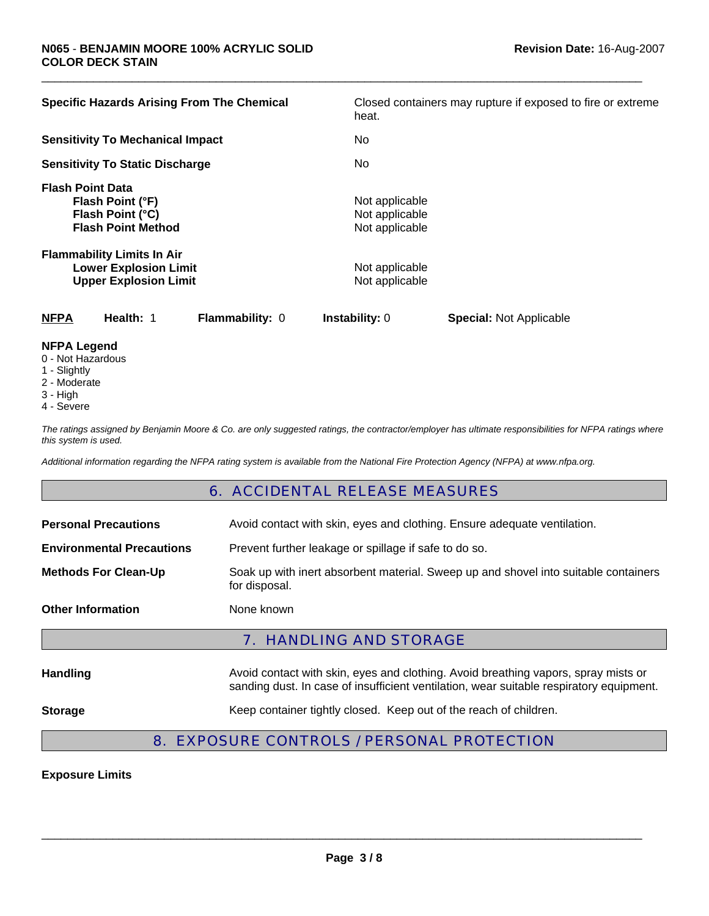| <b>Specific Hazards Arising From The Chemical</b>                                                 | Closed containers may rupture if exposed to fire or extreme<br>heat. |
|---------------------------------------------------------------------------------------------------|----------------------------------------------------------------------|
| <b>Sensitivity To Mechanical Impact</b>                                                           | No.                                                                  |
| <b>Sensitivity To Static Discharge</b>                                                            | No.                                                                  |
| <b>Flash Point Data</b><br>Flash Point (°F)<br>Flash Point (°C)<br><b>Flash Point Method</b>      | Not applicable<br>Not applicable<br>Not applicable                   |
| <b>Flammability Limits In Air</b><br><b>Lower Explosion Limit</b><br><b>Upper Explosion Limit</b> | Not applicable<br>Not applicable                                     |
| <b>NFPA</b><br>Health: 1<br><b>Flammability: 0</b>                                                | <b>Instability: 0</b><br><b>Special: Not Applicable</b>              |

 $\Box$ 

#### **NFPA Legend**

- 0 Not Hazardous
- 1 Slightly
- 2 Moderate
- 3 High
- 4 Severe

*The ratings assigned by Benjamin Moore & Co. are only suggested ratings, the contractor/employer has ultimate responsibilities for NFPA ratings where this system is used.*

*Additional information regarding the NFPA rating system is available from the National Fire Protection Agency (NFPA) at www.nfpa.org.*

# 6. ACCIDENTAL RELEASE MEASURES

| <b>7. HANDLING AND STORAGE</b>   |                                                                                                      |  |
|----------------------------------|------------------------------------------------------------------------------------------------------|--|
| <b>Other Information</b>         | None known                                                                                           |  |
| <b>Methods For Clean-Up</b>      | Soak up with inert absorbent material. Sweep up and shovel into suitable containers<br>for disposal. |  |
| <b>Environmental Precautions</b> | Prevent further leakage or spillage if safe to do so.                                                |  |
| <b>Personal Precautions</b>      | Avoid contact with skin, eyes and clothing. Ensure adequate ventilation.                             |  |

**Handling Avoid contact with skin, eyes and clothing. Avoid breathing vapors, spray mists or and primal proportional and the Australian Distribution of the Australian Distribution Australian Distribution Museum Distribut** sanding dust. In case of insufficient ventilation, wear suitable respiratory equipment.

#### **Storage** Keep container tightly closed. Keep out of the reach of children.

# 8. EXPOSURE CONTROLS / PERSONAL PROTECTION

#### **Exposure Limits**

\_\_\_\_\_\_\_\_\_\_\_\_\_\_\_\_\_\_\_\_\_\_\_\_\_\_\_\_\_\_\_\_\_\_\_\_\_\_\_\_\_\_\_\_\_\_\_\_\_\_\_\_\_\_\_\_\_\_\_\_\_\_\_\_\_\_\_\_\_\_\_\_\_\_\_\_\_\_\_\_\_\_\_\_\_\_\_\_\_\_\_\_\_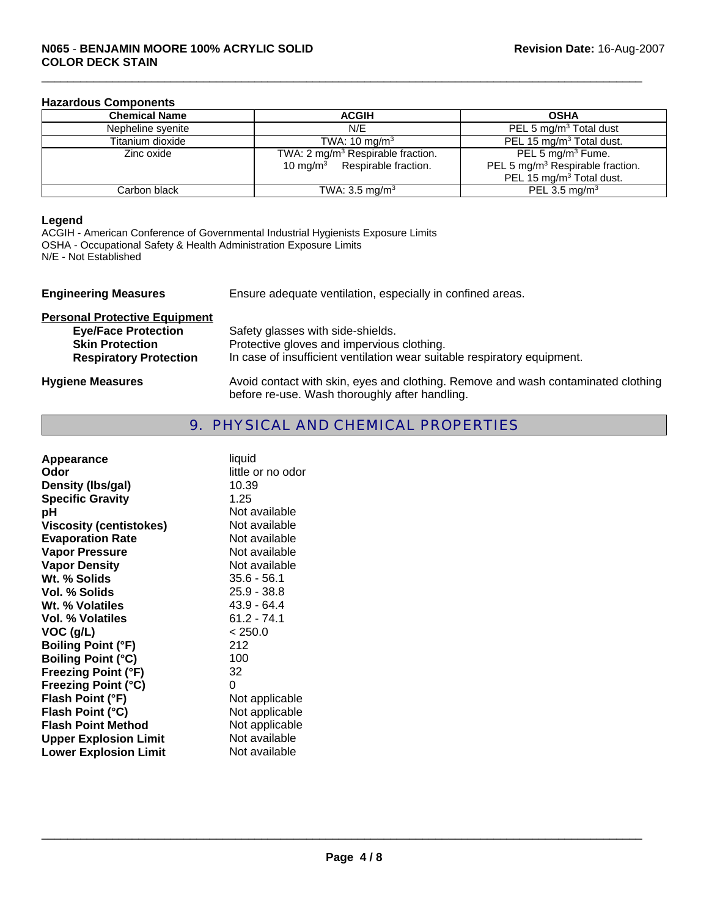#### **Hazardous Components**

| <b>Chemical Name</b> | <b>ACGIH</b>                                                                               | <b>OSHA</b>                                                                                                           |
|----------------------|--------------------------------------------------------------------------------------------|-----------------------------------------------------------------------------------------------------------------------|
| Nepheline syenite    | N/E                                                                                        | PEL 5 $mg/m3$ Total dust                                                                                              |
| Titanium dioxide     | TWA: $10 \text{ ma/m}^3$                                                                   | PEL 15 mg/m <sup>3</sup> Total dust.                                                                                  |
| Zinc oxide           | TWA: 2 mg/m <sup>3</sup> Respirable fraction.<br>10 mg/m <sup>3</sup> Respirable fraction. | PEL 5 mg/m <sup>3</sup> Fume.<br>PEL 5 mg/m <sup>3</sup> Respirable fraction.<br>PEL 15 mg/m <sup>3</sup> Total dust. |
| Carbon black         | TWA: $3.5 \text{ mg/m}^3$                                                                  | PEL 3.5 mg/m <sup>3</sup>                                                                                             |

 $\Box$ 

#### **Legend**

ACGIH - American Conference of Governmental Industrial Hygienists Exposure Limits OSHA - Occupational Safety & Health Administration Exposure Limits N/E - Not Established

| <b>Engineering Measures</b>                                                                                                   | Ensure adequate ventilation, especially in confined areas.                                                                                                  |  |
|-------------------------------------------------------------------------------------------------------------------------------|-------------------------------------------------------------------------------------------------------------------------------------------------------------|--|
| <b>Personal Protective Equipment</b><br><b>Eye/Face Protection</b><br><b>Skin Protection</b><br><b>Respiratory Protection</b> | Safety glasses with side-shields.<br>Protective gloves and impervious clothing.<br>In case of insufficient ventilation wear suitable respiratory equipment. |  |
| <b>Hygiene Measures</b>                                                                                                       | Avoid contact with skin, eyes and clothing. Remove and wash contaminated clothing<br>before re-use. Wash thoroughly after handling.                         |  |

# 9. PHYSICAL AND CHEMICAL PROPERTIES

| Appearance<br>Odor<br>Density (Ibs/gal)<br><b>Specific Gravity</b><br>рH<br><b>Viscosity (centistokes)</b><br><b>Evaporation Rate</b><br><b>Vapor Pressure</b><br><b>Vapor Density</b><br>Wt. % Solids<br>Vol. % Solids | liquid<br>little or no odor<br>10.39<br>1.25<br>Not available<br>Not available<br>Not available<br>Not available<br>Not available<br>$35.6 - 56.1$<br>$25.9 - 38.8$ |
|-------------------------------------------------------------------------------------------------------------------------------------------------------------------------------------------------------------------------|---------------------------------------------------------------------------------------------------------------------------------------------------------------------|
| Wt. % Volatiles                                                                                                                                                                                                         | 43.9 - 64.4                                                                                                                                                         |
| <b>Vol. % Volatiles</b>                                                                                                                                                                                                 | $61.2 - 74.1$                                                                                                                                                       |
| $VOC$ (g/L)                                                                                                                                                                                                             | < 250.0                                                                                                                                                             |
| <b>Boiling Point (°F)</b>                                                                                                                                                                                               | 212                                                                                                                                                                 |
| <b>Boiling Point (°C)</b>                                                                                                                                                                                               | 100                                                                                                                                                                 |
| <b>Freezing Point (°F)</b>                                                                                                                                                                                              | 32                                                                                                                                                                  |
| <b>Freezing Point (°C)</b>                                                                                                                                                                                              | 0                                                                                                                                                                   |
| Flash Point (°F)                                                                                                                                                                                                        | Not applicable                                                                                                                                                      |
| Flash Point (°C)                                                                                                                                                                                                        | Not applicable                                                                                                                                                      |
| <b>Flash Point Method</b>                                                                                                                                                                                               | Not applicable                                                                                                                                                      |
| <b>Upper Explosion Limit</b>                                                                                                                                                                                            | Not available                                                                                                                                                       |
| <b>Lower Explosion Limit</b>                                                                                                                                                                                            | Not available                                                                                                                                                       |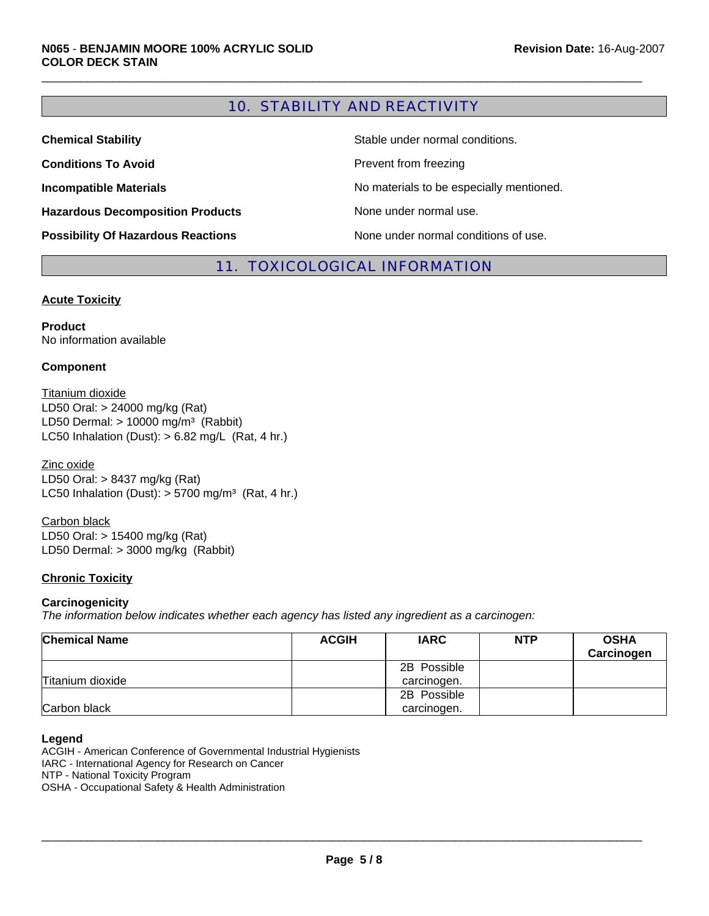# 10. STABILITY AND REACTIVITY

 $\Box$ 

| <b>Chemical Stability</b>                 | Stable under normal conditions.          |
|-------------------------------------------|------------------------------------------|
| <b>Conditions To Avoid</b>                | Prevent from freezing                    |
| <b>Incompatible Materials</b>             | No materials to be especially mentioned. |
| <b>Hazardous Decomposition Products</b>   | None under normal use.                   |
| <b>Possibility Of Hazardous Reactions</b> | None under normal conditions of use.     |

### 11. TOXICOLOGICAL INFORMATION

#### **Acute Toxicity**

**Product** No information available

#### **Component**

Titanium dioxide LC50 Inhalation (Dust):  $> 6.82$  mg/L (Rat, 4 hr.) LD50 Oral: > 24000 mg/kg (Rat) LD50 Dermal:  $> 10000$  mg/m<sup>3</sup> (Rabbit)

Zinc oxide LD50 Oral: > 8437 mg/kg (Rat) LC50 Inhalation (Dust):  $> 5700$  mg/m<sup>3</sup> (Rat, 4 hr.)

LD50 Oral: > 15400 mg/kg (Rat) LD50 Dermal: > 3000 mg/kg (Rabbit) Carbon black

#### **Chronic Toxicity**

#### **Carcinogenicity**

*The information below indicates whether each agency has listed any ingredient as a carcinogen:*

| <b>Chemical Name</b> | <b>ACGIH</b> | <b>IARC</b> | <b>NTP</b> | <b>OSHA</b><br>Carcinogen |
|----------------------|--------------|-------------|------------|---------------------------|
|                      |              | 2B Possible |            |                           |
| Titanium dioxide     |              | carcinogen. |            |                           |
|                      |              | 2B Possible |            |                           |
| Carbon black         |              | carcinogen. |            |                           |

#### **Legend**

ACGIH - American Conference of Governmental Industrial Hygienists IARC - International Agency for Research on Cancer NTP - National Toxicity Program OSHA - Occupational Safety & Health Administration

\_\_\_\_\_\_\_\_\_\_\_\_\_\_\_\_\_\_\_\_\_\_\_\_\_\_\_\_\_\_\_\_\_\_\_\_\_\_\_\_\_\_\_\_\_\_\_\_\_\_\_\_\_\_\_\_\_\_\_\_\_\_\_\_\_\_\_\_\_\_\_\_\_\_\_\_\_\_\_\_\_\_\_\_\_\_\_\_\_\_\_\_\_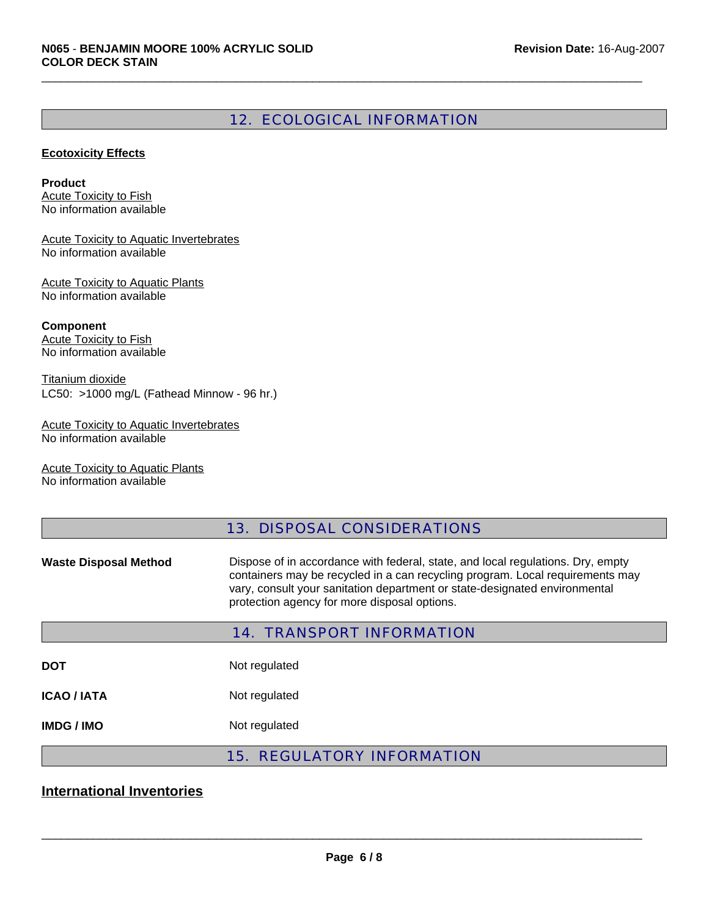# 12. ECOLOGICAL INFORMATION

 $\Box$ 

#### **Ecotoxicity Effects**

**Product** Acute Toxicity to Fish No information available

Acute Toxicity to Aquatic Invertebrates No information available

Acute Toxicity to Aquatic Plants No information available

**Component** Acute Toxicity to Fish No information available

Titanium dioxide LC50: >1000 mg/L (Fathead Minnow - 96 hr.)

Acute Toxicity to Aquatic Invertebrates No information available

Acute Toxicity to Aquatic Plants No information available

# 13. DISPOSAL CONSIDERATIONS

**Waste Disposal Method** Dispose of in accordance with federal, state, and local regulations. Dry, empty containers may be recycled in a can recycling program. Local requirements may vary, consult your sanitation department or state-designated environmental protection agency for more disposal options.

|             | <b>14. TRANSPORT INFORMATION</b>  |
|-------------|-----------------------------------|
| <b>DOT</b>  | Not regulated                     |
| ICAO / IATA | Not regulated                     |
| IMDG / IMO  | Not regulated                     |
|             | <b>15. REGULATORY INFORMATION</b> |

# **International Inventories**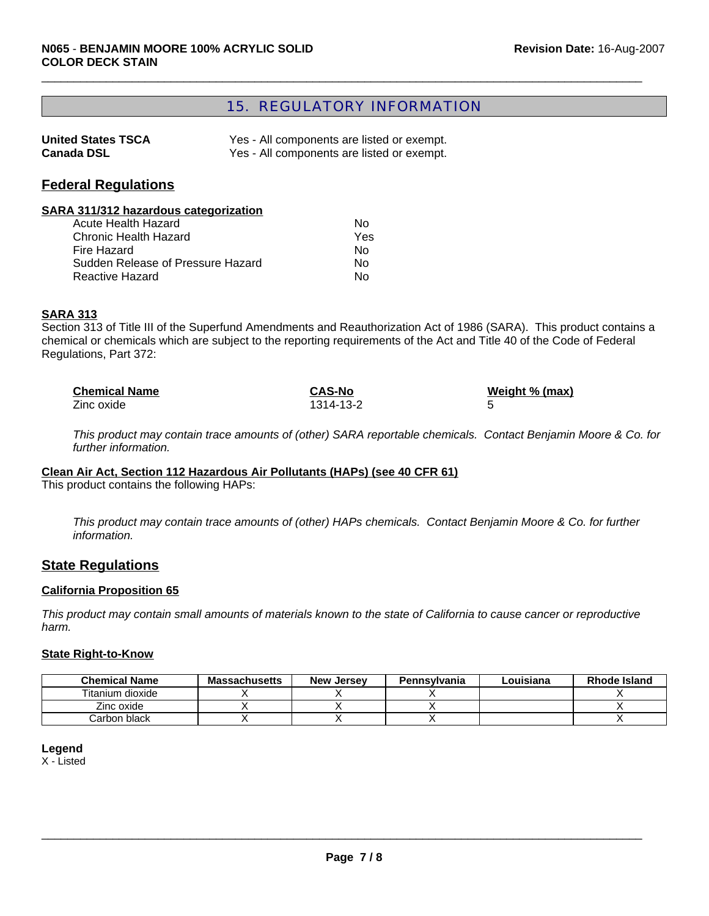# 15. REGULATORY INFORMATION

 $\Box$ 

| <b>United States TSCA</b> | Yes - All components are listed or exempt. |
|---------------------------|--------------------------------------------|
| <b>Canada DSL</b>         | Yes - All components are listed or exempt. |

## **Federal Regulations**

#### **SARA 311/312 hazardous categorization**

| Acute Health Hazard               | N٥  |
|-----------------------------------|-----|
| Chronic Health Hazard             | Yes |
| Fire Hazard                       | N٥  |
| Sudden Release of Pressure Hazard | N٥  |
| <b>Reactive Hazard</b>            | N٥  |

#### **SARA 313**

Section 313 of Title III of the Superfund Amendments and Reauthorization Act of 1986 (SARA). This product contains a chemical or chemicals which are subject to the reporting requirements of the Act and Title 40 of the Code of Federal Regulations, Part 372:

| <b>Chemical Name</b> | <b>CAS-No</b> | Weight % (max) |
|----------------------|---------------|----------------|
| Zinc oxide           | 1314-13-2     |                |

*This product may contain trace amounts of (other) SARA reportable chemicals. Contact Benjamin Moore & Co. for further information.*

#### **Clean Air Act, Section 112 Hazardous Air Pollutants (HAPs) (see 40 CFR 61)**

This product contains the following HAPs:

*This product may contain trace amounts of (other) HAPs chemicals. Contact Benjamin Moore & Co. for further information.*

# **State Regulations**

#### **California Proposition 65**

*This product may contain small amounts of materials known to the state of California to cause cancer or reproductive harm.*

#### **State Right-to-Know**

| <b>Chemical Name</b> | <b>Massachusetts</b> | <b>New Jersey</b> | Pennsylvania | Louisiana | <b>Rhode Island</b> |
|----------------------|----------------------|-------------------|--------------|-----------|---------------------|
| Titanium dioxide     |                      |                   |              |           |                     |
| Zinc oxide           |                      |                   |              |           |                     |
| Carbon black         |                      |                   |              |           |                     |

#### **Legend**

X - Listed